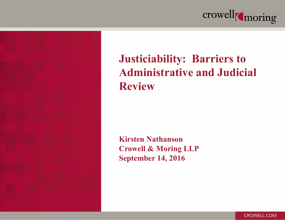



#### **Justiciability: Barriers to Administrative and Judicial Review**

**Kirsten Nathanson Crowell & Moring LLP September 14, 2016**

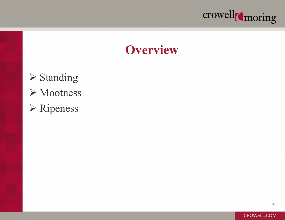

#### **Overview**

**≻ Standing ≻** Mootness Ripeness

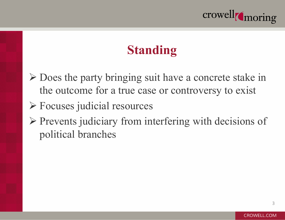

- Does the party bringing suit have a concrete stake in the outcome for a true case or controversy to exist
- Focuses judicial resources
- $\triangleright$  Prevents judiciary from interfering with decisions of political branches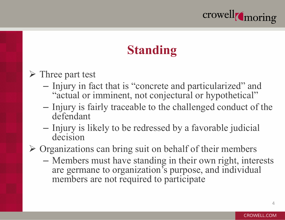

#### **► Three part test**

- Injury in fact that is "concrete and particularized" and "actual or imminent, not conjectural or hypothetical"
- Injury is fairly traceable to the challenged conduct of the defendant
- Injury is likely to be redressed by a favorable judicial decision

 $\triangleright$  Organizations can bring suit on behalf of their members

– Members must have standing in their own right, interests are germane to organization's purpose, and individual members are not required to participate

4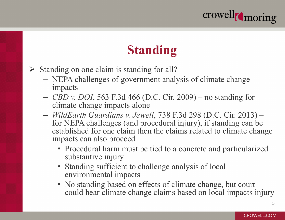

- $\triangleright$  Standing on one claim is standing for all?
	- NEPA challenges of government analysis of climate change impacts
	- *CBD v. DOI*, 563 F.3d 466 (D.C. Cir. 2009) no standing for climate change impacts alone
	- *WildEarth Guardians v. Jewell*, 738 F.3d 298 (D.C. Cir. 2013) for NEPA challenges (and procedural injury), if standing can be established for one claim then the claims related to climate change impacts can also proceed
		- Procedural harm must be tied to a concrete and particularized substantive injury
		- Standing sufficient to challenge analysis of local environmental impacts
		- No standing based on effects of climate change, but court could hear climate change claims based on local impacts injury

5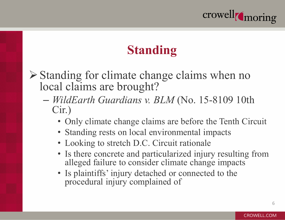

 $\triangleright$  Standing for climate change claims when no local claims are brought?

- *WildEarth Guardians v. BLM* (No. 15-8109 10th Cir.)
	- Only climate change claims are before the Tenth Circuit
	- Standing rests on local environmental impacts
	- Looking to stretch D.C. Circuit rationale
	- Is there concrete and particularized injury resulting from alleged failure to consider climate change impacts
	- Is plaintiffs' injury detached or connected to the procedural injury complained of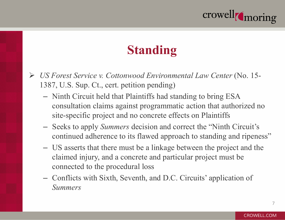

- *US Forest Service v. Cottonwood Environmental Law Center* (No. 15- 1387, U.S. Sup. Ct., cert. petition pending)
	- Ninth Circuit held that Plaintiffs had standing to bring ESA consultation claims against programmatic action that authorized no site-specific project and no concrete effects on Plaintiffs
	- Seeks to apply *Summers* decision and correct the "Ninth Circuit's continued adherence to its flawed approach to standing and ripeness"
	- US asserts that there must be a linkage between the project and the claimed injury, and a concrete and particular project must be connected to the procedural loss
	- Conflicts with Sixth, Seventh, and D.C. Circuits' application of *Summers*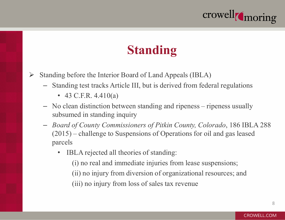

- $\triangleright$  Standing before the Interior Board of Land Appeals (IBLA)
	- Standing test tracks Article III, but is derived from federal regulations
		- 43 C.F.R.  $4.410(a)$
	- No clean distinction between standing and ripeness ripeness usually subsumed in standing inquiry
	- *Board of County Commissioners of Pitkin County, Colorado*, 186 IBLA 288 (2015) – challenge to Suspensions of Operations for oil and gas leased parcels
		- IBLA rejected all theories of standing:
			- (i) no real and immediate injuries from lease suspensions;
			- (ii) no injury from diversion of organizational resources; and
			- (iii) no injury from loss of sales tax revenue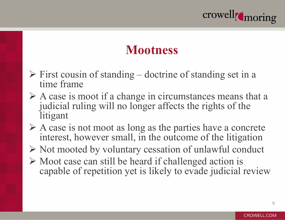

#### **Mootness**

- $\triangleright$  First cousin of standing doctrine of standing set in a time frame
- $\triangleright$  A case is moot if a change in circumstances means that a judicial ruling will no longer affects the rights of the litigant
- $\triangleright$  A case is not moot as long as the parties have a concrete interest, however small, in the outcome of the litigation
- $\triangleright$  Not mooted by voluntary cessation of unlawful conduct
- $\triangleright$  Moot case can still be heard if challenged action is capable of repetition yet is likely to evade judicial review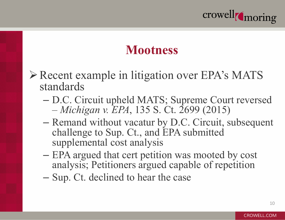

#### **Mootness**

- Recent example in litigation over EPA's MATS standards
	- D.C. Circuit upheld MATS; Supreme Court reversed – *Michigan v. EPA*, 135 S. Ct. 2699 (2015)
	- Remand without vacatur by D.C. Circuit, subsequent challenge to Sup. Ct., and EPA submitted supplemental cost analysis
	- EPA argued that cert petition was mooted by cost analysis; Petitioners argued capable of repetition
	- Sup. Ct. declined to hear the case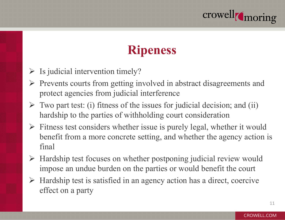

#### **Ripeness**

- $\triangleright$  Is judicial intervention timely?
- $\triangleright$  Prevents courts from getting involved in abstract disagreements and protect agencies from judicial interference
- $\triangleright$  Two part test: (i) fitness of the issues for judicial decision; and (ii) hardship to the parties of withholding court consideration
- $\triangleright$  Fitness test considers whether issue is purely legal, whether it would benefit from a more concrete setting, and whether the agency action is final
- $\triangleright$  Hardship test focuses on whether postponing judicial review would impose an undue burden on the parties or would benefit the court
- $\triangleright$  Hardship test is satisfied in an agency action has a direct, coercive effect on a party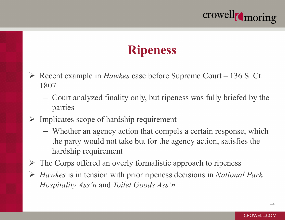

#### **Ripeness**

- Recent example in *Hawkes* case before Supreme Court 136 S. Ct. 1807
	- Court analyzed finality only, but ripeness was fully briefed by the parties
- $\triangleright$  Implicates scope of hardship requirement
	- Whether an agency action that compels a certain response, which the party would not take but for the agency action, satisfies the hardship requirement
- $\triangleright$  The Corps offered an overly formalistic approach to ripeness
- *Hawkes* is in tension with prior ripeness decisions in *National Park Hospitality Ass'n* and *Toilet Goods Ass'n*